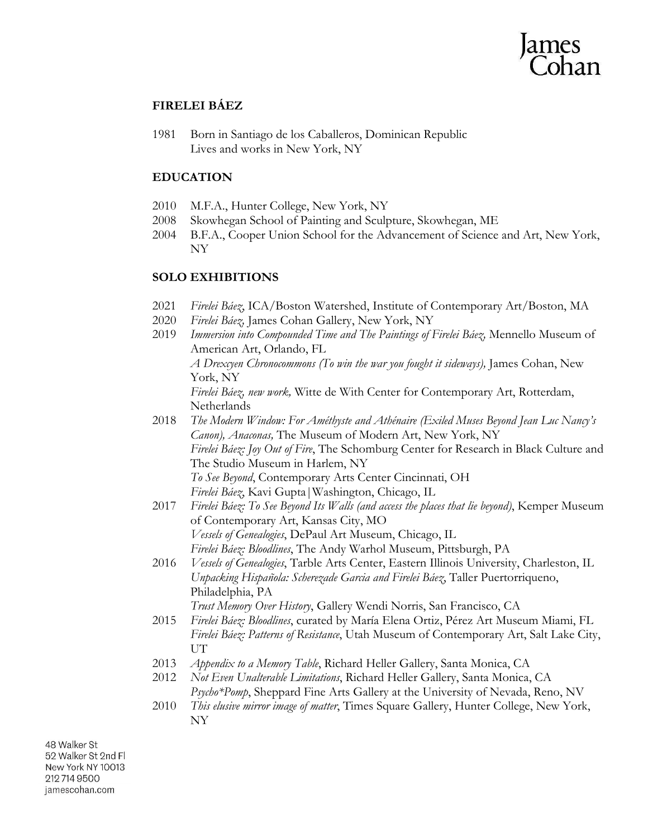

# **FIRELEI BÁEZ**

1981 Born in Santiago de los Caballeros, Dominican Republic Lives and works in New York, NY

# **EDUCATION**

- 2010 M.F.A., Hunter College, New York, NY
- 2008 Skowhegan School of Painting and Sculpture, Skowhegan, ME
- 2004 B.F.A., Cooper Union School for the Advancement of Science and Art, New York, NY

# **SOLO EXHIBITIONS**

- 2021 *Firelei Báez*, ICA/Boston Watershed, Institute of Contemporary Art/Boston, MA
- 2020 *Firelei Báez,* James Cohan Gallery, New York, NY
- 2019 *Immersion into Compounded Time and The Paintings of Firelei Báez,* Mennello Museum of American Art, Orlando, FL *A Drexcyen Chronocommons (To win the war you fought it sideways),* James Cohan, New York, NY *Firelei Báez, new work,* Witte de With Center for Contemporary Art, Rotterdam, Netherlands
- 2018 *The Modern Window: For Améthyste and Athénaire (Exiled Muses Beyond Jean Luc Nancy's Canon), Anaconas,* The Museum of Modern Art, New York, NY *Firelei Báez: Joy Out of Fire*, The Schomburg Center for Research in Black Culture and The Studio Museum in Harlem, NY *To See Beyond*, Contemporary Arts Center Cincinnati, OH *Firelei Báez*, Kavi Gupta|Washington, Chicago, IL
- 2017 *Firelei Báez: To See Beyond Its Walls (and access the places that lie beyond)*, Kemper Museum of Contemporary Art, Kansas City, MO *Vessels of Genealogies*, DePaul Art Museum, Chicago, IL *Firelei Báez: Bloodlines*, The Andy Warhol Museum, Pittsburgh, PA
- 2016 *Vessels of Genealogies*, Tarble Arts Center, Eastern Illinois University, Charleston, IL *Unpacking Hispañola: Scherezade Garcia and Firelei Báez*, Taller Puertorriqueno, Philadelphia, PA

*Trust Memory Over History*, Gallery Wendi Norris, San Francisco, CA

- 2015 *Firelei Báez: Bloodlines*, curated by María Elena Ortiz, Pérez Art Museum Miami, FL *Firelei Báez: Patterns of Resistance*, Utah Museum of Contemporary Art, Salt Lake City, UT
- 2013 *Appendix to a Memory Table*, Richard Heller Gallery, Santa Monica, CA
- 2012 *Not Even Unalterable Limitations*, Richard Heller Gallery, Santa Monica, CA *Psycho\*Pomp*, Sheppard Fine Arts Gallery at the University of Nevada, Reno, NV
- 2010 *This elusive mirror image of matter*, Times Square Gallery, Hunter College, New York, NY

48 Walker St 52 Walker St 2nd Fl New York NY 10013 212 714 9500 jamescohan.com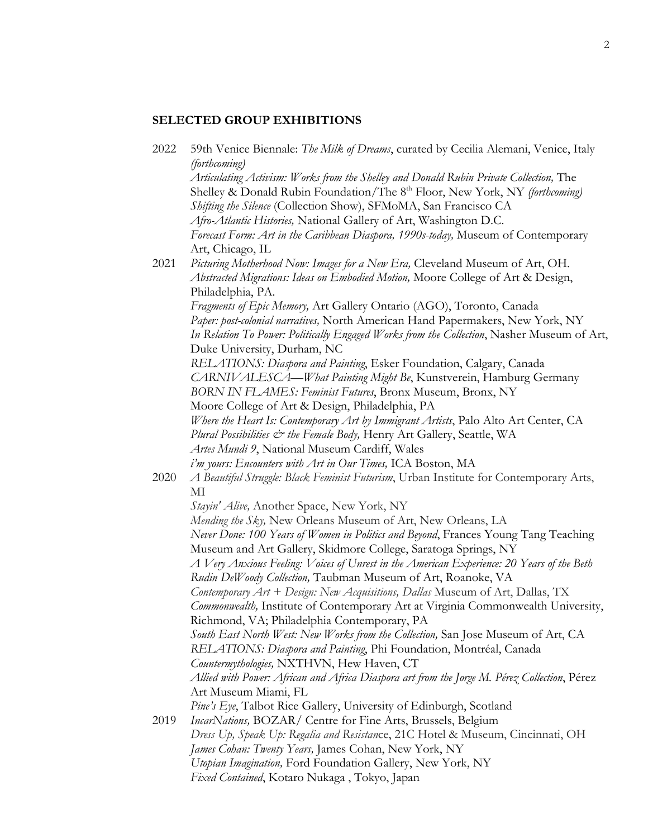# **SELECTED GROUP EXHIBITIONS**

| 2022 | 59th Venice Biennale: The Milk of Dreams, curated by Cecilia Alemani, Venice, Italy          |
|------|----------------------------------------------------------------------------------------------|
|      | (forthcoming)                                                                                |
|      | Articulating Activism: Works from the Shelley and Donald Rubin Private Collection, The       |
|      | Shelley & Donald Rubin Foundation/The 8 <sup>th</sup> Floor, New York, NY (forthcoming)      |
|      | Shifting the Silence (Collection Show), SFMoMA, San Francisco CA                             |
|      | Afro-Atlantic Histories, National Gallery of Art, Washington D.C.                            |
|      | Forecast Form: Art in the Caribbean Diaspora, 1990s-today, Museum of Contemporary            |
|      | Art, Chicago, IL                                                                             |
| 2021 | Picturing Motherhood Now: Images for a New Era, Cleveland Museum of Art, OH.                 |
|      | Abstracted Migrations: Ideas on Embodied Motion, Moore College of Art & Design,              |
|      | Philadelphia, PA.                                                                            |
|      | Fragments of Epic Memory, Art Gallery Ontario (AGO), Toronto, Canada                         |
|      | Paper: post-colonial narratives, North American Hand Papermakers, New York, NY               |
|      | In Relation To Power: Politically Engaged Works from the Collection, Nasher Museum of Art,   |
|      | Duke University, Durham, NC                                                                  |
|      | RELATIONS: Diaspora and Painting, Esker Foundation, Calgary, Canada                          |
|      | CARNIV ALESCA-What Painting Might Be, Kunstverein, Hamburg Germany                           |
|      |                                                                                              |
|      | BORN IN FLAMES: Feminist Futures, Bronx Museum, Bronx, NY                                    |
|      | Moore College of Art & Design, Philadelphia, PA                                              |
|      | Where the Heart Is: Contemporary Art by Immigrant Artists, Palo Alto Art Center, CA          |
|      | Plural Possibilities & the Female Body, Henry Art Gallery, Seattle, WA                       |
|      | Artes Mundi 9, National Museum Cardiff, Wales                                                |
|      | i'm yours: Encounters with Art in Our Times, ICA Boston, MA                                  |
| 2020 | A Beautiful Struggle: Black Feminist Futurism, Urban Institute for Contemporary Arts,        |
|      | МI                                                                                           |
|      | Stayin' Alive, Another Space, New York, NY                                                   |
|      | Mending the Sky, New Orleans Museum of Art, New Orleans, LA                                  |
|      | Never Done: 100 Years of Women in Politics and Beyond, Frances Young Tang Teaching           |
|      | Museum and Art Gallery, Skidmore College, Saratoga Springs, NY                               |
|      | A Very Anxious Feeling: Voices of Unrest in the American Experience: 20 Years of the Beth    |
|      | Rudin DeWoody Collection, Taubman Museum of Art, Roanoke, VA                                 |
|      | Contemporary Art + Design: New Acquisitions, Dallas Museum of Art, Dallas, TX                |
|      | Commonwealth, Institute of Contemporary Art at Virginia Commonwealth University,             |
|      | Richmond, VA; Philadelphia Contemporary, PA                                                  |
|      | South East North West: New Works from the Collection, San Jose Museum of Art, CA             |
|      | RELATIONS: Diaspora and Painting, Phi Foundation, Montréal, Canada                           |
|      | Countermythologies, NXTHVN, Hew Haven, CT                                                    |
|      | Allied with Power: African and Africa Diaspora art from the Jorge M. Pérez Collection, Pérez |
|      | Art Museum Miami, FL                                                                         |
|      | Pine's Eye, Talbot Rice Gallery, University of Edinburgh, Scotland                           |
| 2019 | IncarNations, BOZAR/ Centre for Fine Arts, Brussels, Belgium                                 |
|      | Dress Up, Speak Up: Regalia and Resistance, 21C Hotel & Museum, Cincinnati, OH               |
|      | James Cohan: Twenty Years, James Cohan, New York, NY                                         |
|      | Utopian Imagination, Ford Foundation Gallery, New York, NY                                   |
|      | Fixed Contained, Kotaro Nukaga, Tokyo, Japan                                                 |
|      |                                                                                              |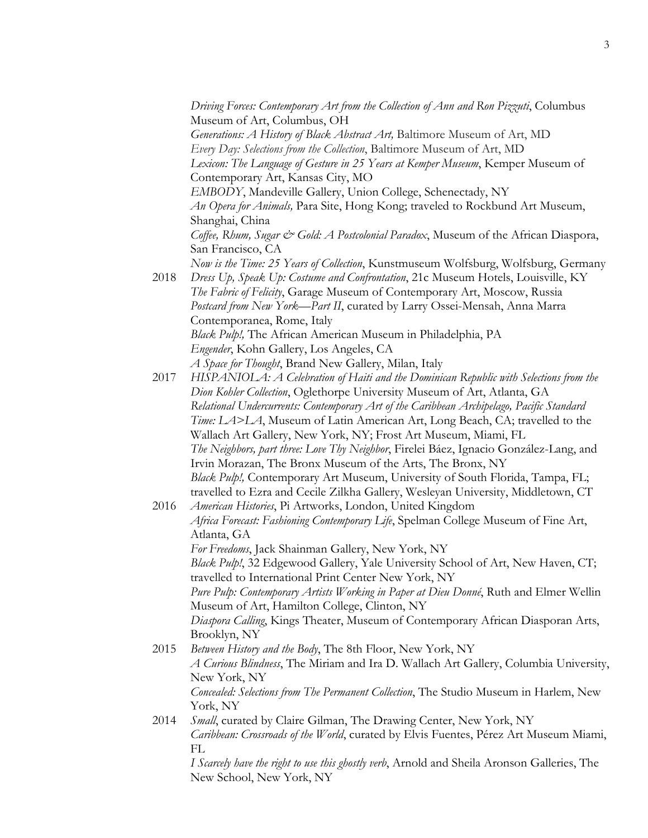*Driving Forces: Contemporary Art from the Collection of Ann and Ron Pizzuti*, Columbus Museum of Art, Columbus, OH *Generations: A History of Black Abstract Art,* Baltimore Museum of Art, MD *Every Day: Selections from the Collection*, Baltimore Museum of Art, MD *Lexicon: The Language of Gesture in 25 Years at Kemper Museum*, Kemper Museum of Contemporary Art, Kansas City, MO *EMBODY*, Mandeville Gallery, Union College, Schenectady, NY *An Opera for Animals,* Para Site, Hong Kong; traveled to Rockbund Art Museum, Shanghai, China *Coffee, Rhum, Sugar & Gold: A Postcolonial Paradox*, Museum of the African Diaspora, San Francisco, CA *Now is the Time: 25 Years of Collection*, Kunstmuseum Wolfsburg, Wolfsburg, Germany 2018 *Dress Up, Speak Up: Costume and Confrontation*, 21c Museum Hotels, Louisville, KY

- *The Fabric of Felicity*, Garage Museum of Contemporary Art, Moscow, Russia *Postcard from New York—Part II*, curated by Larry Ossei-Mensah, Anna Marra Contemporanea, Rome, Italy *Black Pulp!,* The African American Museum in Philadelphia, PA *Engender*, Kohn Gallery, Los Angeles, CA *A Space for Thought*, Brand New Gallery, Milan, Italy
- 2017 *HISPANIOLA: A Celebration of Haiti and the Dominican Republic with Selections from the Dion Kohler Collection*, Oglethorpe University Museum of Art, Atlanta, GA *Relational Undercurrents: Contemporary Art of the Caribbean Archipelago, Pacific Standard Time: LA>LA*, Museum of Latin American Art, Long Beach, CA; travelled to the Wallach Art Gallery, New York, NY; Frost Art Museum, Miami, FL *The Neighbors, part three: Love Thy Neighbor*, Firelei Báez, Ignacio González-Lang, and Irvin Morazan, The Bronx Museum of the Arts, The Bronx, NY *Black Pulp!,* Contemporary Art Museum, University of South Florida, Tampa, FL; travelled to Ezra and Cecile Zilkha Gallery, Wesleyan University, Middletown, CT
- 2016 *American Histories*, Pi Artworks, London, United Kingdom *Africa Forecast: Fashioning Contemporary Life*, Spelman College Museum of Fine Art, Atlanta, GA *For Freedoms*, Jack Shainman Gallery, New York, NY *Black Pulp!*, 32 Edgewood Gallery, Yale University School of Art, New Haven, CT; travelled to International Print Center New York, NY *Pure Pulp: Contemporary Artists Working in Paper at Dieu Donné*, Ruth and Elmer Wellin Museum of Art, Hamilton College, Clinton, NY *Diaspora Calling*, Kings Theater, Museum of Contemporary African Diasporan Arts, Brooklyn, NY 2015 *Between History and the Body*, The 8th Floor, New York, NY *A Curious Blindness*, The Miriam and Ira D. Wallach Art Gallery, Columbia University, New York, NY *Concealed: Selections from The Permanent Collection*, The Studio Museum in Harlem, New York, NY
- 2014 *Small*, curated by Claire Gilman, The Drawing Center, New York, NY *Caribbean: Crossroads of the World*, curated by Elvis Fuentes, Pérez Art Museum Miami, FL

*I Scarcely have the right to use this ghostly verb*, Arnold and Sheila Aronson Galleries, The New School, New York, NY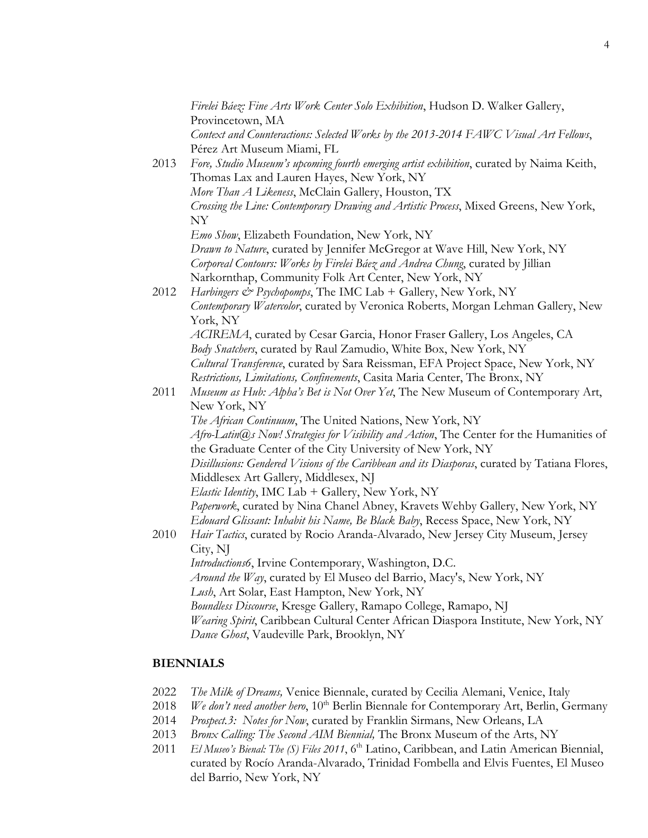*Firelei Báez: Fine Arts Work Center Solo Exhibition*, Hudson D. Walker Gallery, Provincetown, MA *Context and Counteractions: Selected Works by the 2013-2014 FAWC Visual Art Fellows*,

Pérez Art Museum Miami, FL 2013 *Fore, Studio Museum's upcoming fourth emerging artist exhibition*, curated by Naima Keith, Thomas Lax and Lauren Hayes, New York, NY *More Than A Likeness*, McClain Gallery, Houston, TX *Crossing the Line: Contemporary Drawing and Artistic Process*, Mixed Greens, New York, NY *Emo Show*, Elizabeth Foundation, New York, NY *Drawn to Nature*, curated by Jennifer McGregor at Wave Hill, New York, NY *Corporeal Contours: Works by Firelei Báez and Andrea Chung*, curated by Jillian Narkornthap, Community Folk Art Center, New York, NY 2012 *Harbingers & Psychopomps*, The IMC Lab + Gallery, New York, NY *Contemporary Watercolor*, curated by Veronica Roberts, Morgan Lehman Gallery, New York, NY *ACIREMA*, curated by Cesar Garcia, Honor Fraser Gallery, Los Angeles, CA *Body Snatchers*, curated by Raul Zamudio, White Box, New York, NY *Cultural Transference*, curated by Sara Reissman, EFA Project Space, New York, NY *Restrictions, Limitations, Confinements*, Casita Maria Center, The Bronx, NY 2011 *Museum as Hub: Alpha's Bet is Not Over Yet*, The New Museum of Contemporary Art, New York, NY *The African Continuum*, The United Nations, New York, NY *Afro-Latin@s Now! Strategies for Visibility and Action*, The Center for the Humanities of the Graduate Center of the City University of New York, NY *Disillusions: Gendered Visions of the Caribbean and its Diasporas*, curated by Tatiana Flores, Middlesex Art Gallery, Middlesex, NJ *Elastic Identity*, IMC Lab + Gallery, New York, NY *Paperwork*, curated by Nina Chanel Abney, Kravets Wehby Gallery, New York, NY *Edouard Glissant: Inhabit his Name, Be Black Baby*, Recess Space, New York, NY 2010 *Hair Tactics*, curated by Rocio Aranda-Alvarado, New Jersey City Museum, Jersey City, NJ *Introductions6*, Irvine Contemporary, Washington, D.C. *Around the Way*, curated by El Museo del Barrio, Macy's, New York, NY *Lush*, Art Solar, East Hampton, New York, NY *Boundless Discourse*, Kresge Gallery, Ramapo College, Ramapo, NJ *Wearing Spirit*, Caribbean Cultural Center African Diaspora Institute, New York, NY *Dance Ghost*, Vaudeville Park, Brooklyn, NY

# **BIENNIALS**

- 2022 *The Milk of Dreams,* Venice Biennale, curated by Cecilia Alemani, Venice, Italy
- 2018 *We don't need another hero*, 10<sup>th</sup> Berlin Biennale for Contemporary Art, Berlin, Germany
- 2014 *Prospect.3: Notes for Now*, curated by Franklin Sirmans, New Orleans, LA
- 2013 *Bronx Calling: The Second AIM Biennial,* The Bronx Museum of the Arts, NY
- 2011 *El Museo's Bienal: The (S) Files 2011*, 6<sup>th</sup> Latino, Caribbean, and Latin American Biennial, curated by Rocío Aranda-Alvarado, Trinidad Fombella and Elvis Fuentes, El Museo del Barrio, New York, NY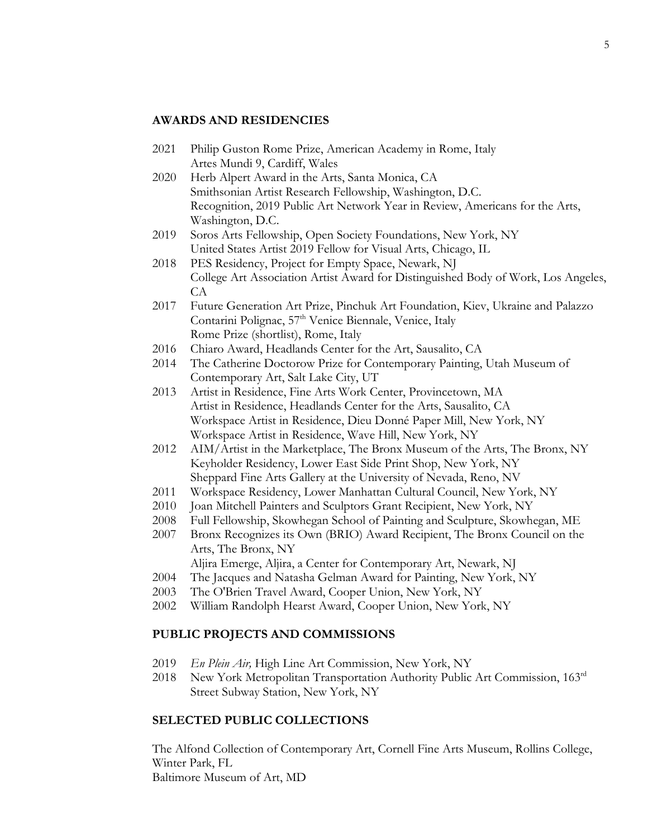#### **AWARDS AND RESIDENCIES**

- 2021 Philip Guston Rome Prize, American Academy in Rome, Italy Artes Mundi 9, Cardiff, Wales
- 2020 Herb Alpert Award in the Arts, Santa Monica, CA Smithsonian Artist Research Fellowship, Washington, D.C. Recognition, 2019 Public Art Network Year in Review, Americans for the Arts, Washington, D.C.
- 2019 Soros Arts Fellowship, Open Society Foundations, New York, NY United States Artist 2019 Fellow for Visual Arts, Chicago, IL
- 2018 PES Residency, Project for Empty Space, Newark, NJ College Art Association Artist Award for Distinguished Body of Work, Los Angeles, CA
- 2017 Future Generation Art Prize, Pinchuk Art Foundation, Kiev, Ukraine and Palazzo Contarini Polignac, 57<sup>th</sup> Venice Biennale, Venice, Italy Rome Prize (shortlist), Rome, Italy
- 2016 Chiaro Award, Headlands Center for the Art, Sausalito, CA
- 2014 The Catherine Doctorow Prize for Contemporary Painting, Utah Museum of Contemporary Art, Salt Lake City, UT
- 2013 Artist in Residence, Fine Arts Work Center, Provincetown, MA Artist in Residence, Headlands Center for the Arts, Sausalito, CA Workspace Artist in Residence, Dieu Donné Paper Mill, New York, NY Workspace Artist in Residence, Wave Hill, New York, NY
- 2012 AIM/Artist in the Marketplace, The Bronx Museum of the Arts, The Bronx, NY Keyholder Residency, Lower East Side Print Shop, New York, NY Sheppard Fine Arts Gallery at the University of Nevada, Reno, NV
- 2011 Workspace Residency, Lower Manhattan Cultural Council, New York, NY
- 2010 Joan Mitchell Painters and Sculptors Grant Recipient, New York, NY
- 2008 Full Fellowship, Skowhegan School of Painting and Sculpture, Skowhegan, ME
- 2007 Bronx Recognizes its Own (BRIO) Award Recipient, The Bronx Council on the Arts, The Bronx, NY

Aljira Emerge, Aljira, a Center for Contemporary Art, Newark, NJ

- 2004 The Jacques and Natasha Gelman Award for Painting, New York, NY
- 2003 The O'Brien Travel Award, Cooper Union, New York, NY
- 2002 William Randolph Hearst Award, Cooper Union, New York, NY

# **PUBLIC PROJECTS AND COMMISSIONS**

- 2019 *En Plein Air,* High Line Art Commission, New York, NY
- 2018 New York Metropolitan Transportation Authority Public Art Commission, 163rd Street Subway Station, New York, NY

#### **SELECTED PUBLIC COLLECTIONS**

The Alfond Collection of Contemporary Art, Cornell Fine Arts Museum, Rollins College, Winter Park, FL Baltimore Museum of Art, MD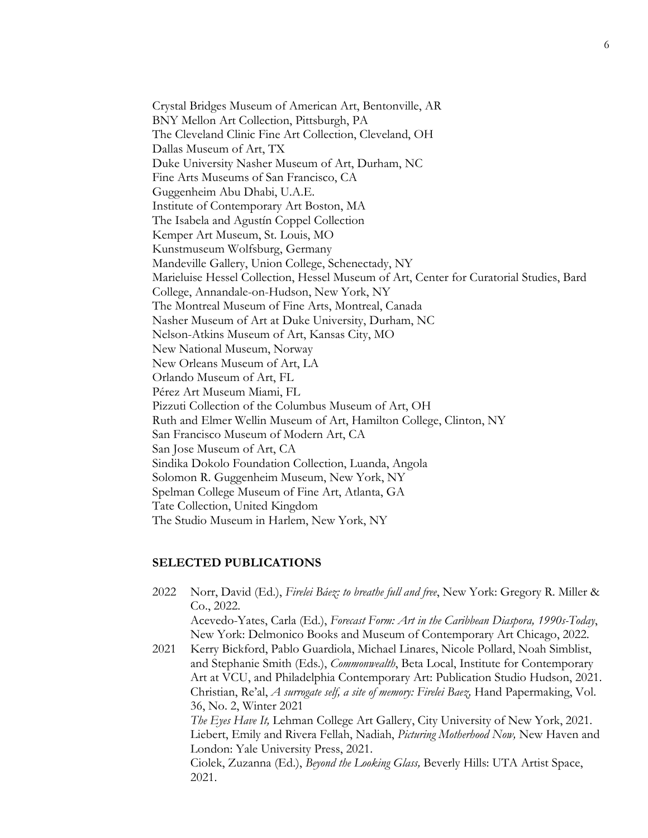Crystal Bridges Museum of American Art, Bentonville, AR BNY Mellon Art Collection, Pittsburgh, PA The Cleveland Clinic Fine Art Collection, Cleveland, OH Dallas Museum of Art, TX Duke University Nasher Museum of Art, Durham, NC Fine Arts Museums of San Francisco, CA Guggenheim Abu Dhabi, U.A.E. Institute of Contemporary Art Boston, MA The Isabela and Agustín Coppel Collection Kemper Art Museum, St. Louis, MO Kunstmuseum Wolfsburg, Germany Mandeville Gallery, Union College, Schenectady, NY Marieluise Hessel Collection, Hessel Museum of Art, Center for Curatorial Studies, Bard College, Annandale-on-Hudson, New York, NY The Montreal Museum of Fine Arts, Montreal, Canada Nasher Museum of Art at Duke University, Durham, NC Nelson-Atkins Museum of Art, Kansas City, MO New National Museum, Norway New Orleans Museum of Art, LA Orlando Museum of Art, FL Pérez Art Museum Miami, FL Pizzuti Collection of the Columbus Museum of Art, OH Ruth and Elmer Wellin Museum of Art, Hamilton College, Clinton, NY San Francisco Museum of Modern Art, CA San Jose Museum of Art, CA Sindika Dokolo Foundation Collection, Luanda, Angola Solomon R. Guggenheim Museum, New York, NY Spelman College Museum of Fine Art, Atlanta, GA Tate Collection, United Kingdom The Studio Museum in Harlem, New York, NY

#### **SELECTED PUBLICATIONS**

- 2022 Norr, David (Ed.), *Firelei Báez: to breathe full and free*, New York: Gregory R. Miller & Co., 2022. Acevedo-Yates, Carla (Ed.), *Forecast Form: Art in the Caribbean Diaspora, 1990s-Today*, New York: Delmonico Books and Museum of Contemporary Art Chicago, 2022. 2021 Kerry Bickford, Pablo Guardiola, Michael Linares, Nicole Pollard, Noah Simblist,
	- and Stephanie Smith (Eds.), *Commonwealth*, Beta Local, Institute for Contemporary Art at VCU, and Philadelphia Contemporary Art: Publication Studio Hudson, 2021. Christian, Re'al, *A surrogate self, a site of memory: Firelei Baez,* Hand Papermaking, Vol. 36, No. 2, Winter 2021 *The Eyes Have It,* Lehman College Art Gallery, City University of New York, 2021. Liebert, Emily and Rivera Fellah, Nadiah, *Picturing Motherhood Now,* New Haven and London: Yale University Press, 2021.

Ciolek, Zuzanna (Ed.), *Beyond the Looking Glass,* Beverly Hills: UTA Artist Space, 2021.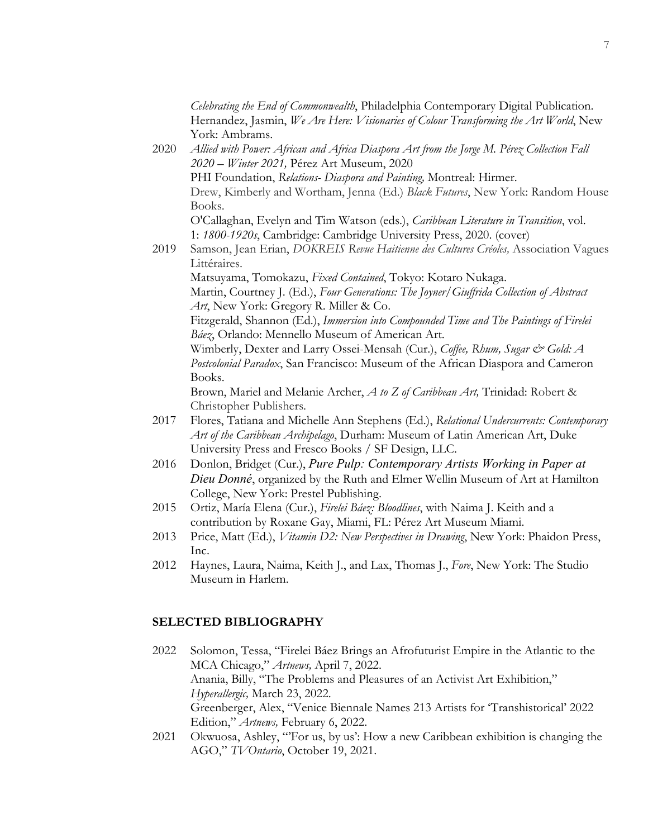*Celebrating the End of Commonwealth*, Philadelphia Contemporary Digital Publication. Hernandez, Jasmin, *We Are Here: Visionaries of Colour Transforming the Art World*, New York: Ambrams.

- 2020 *Allied with Power: African and Africa Diaspora Art from the Jorge M. Pérez Collection Fall 2020 – Winter 2021,* Pérez Art Museum, 2020 PHI Foundation, *Relations- Diaspora and Painting,* Montreal: Hirmer. Drew, Kimberly and Wortham, Jenna (Ed.) *Black Futures*, New York: Random House Books. O'Callaghan, Evelyn and Tim Watson (eds.), *Caribbean Literature in Transition*, vol. 1: *1800-1920s*, Cambridge: Cambridge University Press, 2020. (cover)
- 2019 Samson, Jean Erian, *DOKREIS Revue Haitienne des Cultures Créoles,* Association Vagues Littéraires. Matsuyama, Tomokazu, *Fixed Contained*, Tokyo: Kotaro Nukaga. Martin, Courtney J. (Ed.), *Four Generations: The Joyner/Giuffrida Collection of Abstract Art*, New York: Gregory R. Miller & Co.

Fitzgerald, Shannon (Ed.), *Immersion into Compounded Time and The Paintings of Firelei Báez*, Orlando: Mennello Museum of American Art.

Wimberly, Dexter and Larry Ossei-Mensah (Cur.), *Coffee, Rhum, Sugar & Gold: A Postcolonial Paradox*, San Francisco: Museum of the African Diaspora and Cameron Books.

Brown, Mariel and Melanie Archer, *A to Z of Caribbean Art,* Trinidad: Robert & Christopher Publishers.

- 2017 Flores, Tatiana and Michelle Ann Stephens (Ed.), *Relational Undercurrents: Contemporary Art of the Caribbean Archipelago*, Durham: Museum of Latin American Art, Duke University Press and Fresco Books / SF Design, LLC.
- 2016 Donlon, Bridget (Cur.), *Pure Pulp: Contemporary Artists Working in Paper at Dieu Donné*, organized by the Ruth and Elmer Wellin Museum of Art at Hamilton College, New York: Prestel Publishing.
- 2015 Ortiz, María Elena (Cur.), *Firelei Báez: Bloodlines*, with Naima J. Keith and a contribution by Roxane Gay, Miami, FL: Pérez Art Museum Miami.
- 2013 Price, Matt (Ed.), *Vitamin D2: New Perspectives in Drawing*, New York: Phaidon Press, Inc.
- 2012 Haynes, Laura, Naima, Keith J., and Lax, Thomas J., *Fore*, New York: The Studio Museum in Harlem.

# **SELECTED BIBLIOGRAPHY**

- 2022 Solomon, Tessa, "Firelei Báez Brings an Afrofuturist Empire in the Atlantic to the MCA Chicago," *Artnews,* April 7, 2022. Anania, Billy, "The Problems and Pleasures of an Activist Art Exhibition," *Hyperallergic,* March 23, 2022. Greenberger, Alex, "Venice Biennale Names 213 Artists for 'Transhistorical' 2022 Edition," *Artnews,* February 6, 2022.
- 2021 Okwuosa, Ashley, "'For us, by us': How a new Caribbean exhibition is changing the AGO," *TVOntario*, October 19, 2021.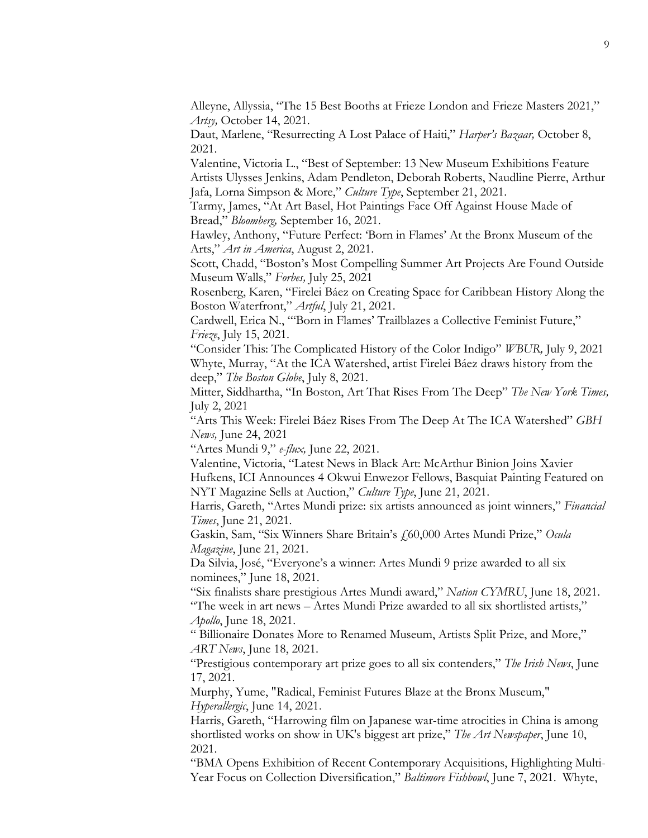Alleyne, Allyssia, "The 15 Best Booths at Frieze London and Frieze Masters 2021," *Artsy,* October 14, 2021.

Daut, Marlene, "Resurrecting A Lost Palace of Haiti," *Harper's Bazaar,* October 8, 2021.

Valentine, Victoria L., "Best of September: 13 New Museum Exhibitions Feature Artists Ulysses Jenkins, Adam Pendleton, Deborah Roberts, Naudline Pierre, Arthur Jafa, Lorna Simpson & More," *Culture Type*, September 21, 2021.

Tarmy, James, "At Art Basel, Hot Paintings Face Off Against House Made of Bread," *Bloomberg,* September 16, 2021.

Hawley, Anthony, "Future Perfect: 'Born in Flames' At the Bronx Museum of the Arts," *Art in America*, August 2, 2021.

Scott, Chadd, "Boston's Most Compelling Summer Art Projects Are Found Outside Museum Walls," *Forbes,* July 25, 2021

Rosenberg, Karen, "Firelei Báez on Creating Space for Caribbean History Along the Boston Waterfront," *Artful*, July 21, 2021.

Cardwell, Erica N., "'Born in Flames' Trailblazes a Collective Feminist Future," *Frieze*, July 15, 2021.

"Consider This: The Complicated History of the Color Indigo" *WBUR,* July 9, 2021 Whyte, Murray, "At the ICA Watershed, artist Firelei Báez draws history from the deep," *The Boston Globe*, July 8, 2021.

Mitter, Siddhartha, "In Boston, Art That Rises From The Deep" *The New York Times,*  July 2, 2021

"Arts This Week: Firelei Báez Rises From The Deep At The ICA Watershed" *GBH News,* June 24, 2021

"Artes Mundi 9," *e-flux,* June 22, 2021.

Valentine, Victoria, "Latest News in Black Art: McArthur Binion Joins Xavier Hufkens, ICI Announces 4 Okwui Enwezor Fellows, Basquiat Painting Featured on NYT Magazine Sells at Auction," *Culture Type*, June 21, 2021.

Harris, Gareth, "Artes Mundi prize: six artists announced as joint winners," *Financial Times*, June 21, 2021.

Gaskin, Sam, "Six Winners Share Britain's £60,000 Artes Mundi Prize," *Ocula Magazine*, June 21, 2021.

Da Silvia, José, "Everyone's a winner: Artes Mundi 9 prize awarded to all six nominees," June 18, 2021.

"Six finalists share prestigious Artes Mundi award," *Nation CYMRU*, June 18, 2021. "The week in art news – Artes Mundi Prize awarded to all six shortlisted artists,"

*Apollo*, June 18, 2021.

" Billionaire Donates More to Renamed Museum, Artists Split Prize, and More," *ART News*, June 18, 2021.

"Prestigious contemporary art prize goes to all six contenders," *The Irish News*, June 17, 2021.

Murphy, Yume, "Radical, Feminist Futures Blaze at the Bronx Museum," *Hyperallergic*, June 14, 2021.

Harris, Gareth, "Harrowing film on Japanese war-time atrocities in China is among shortlisted works on show in UK's biggest art prize," *The Art Newspaper*, June 10, 2021.

"BMA Opens Exhibition of Recent Contemporary Acquisitions, Highlighting Multi-Year Focus on Collection Diversification," *Baltimore Fishbowl*, June 7, 2021. Whyte,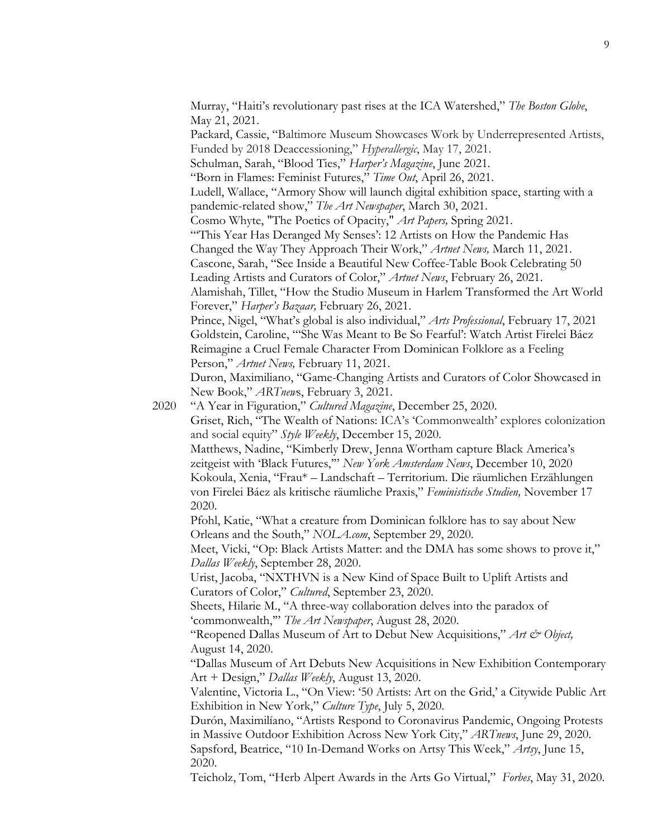Murray, "Haiti's revolutionary past rises at the ICA Watershed," *The Boston Globe*, May 21, 2021. Packard, Cassie, "Baltimore Museum Showcases Work by Underrepresented Artists, Funded by 2018 Deaccessioning," *Hyperallergic*, May 17, 2021. Schulman, Sarah, "Blood Ties," *Harper's Magazine*, June 2021. "Born in Flames: Feminist Futures," *Time Out*, April 26, 2021. Ludell, Wallace, "Armory Show will launch digital exhibition space, starting with a pandemic-related show," *The Art Newspaper*, March 30, 2021. Cosmo Whyte, "The Poetics of Opacity," *Art Papers,* Spring 2021. "'This Year Has Deranged My Senses': 12 Artists on How the Pandemic Has Changed the Way They Approach Their Work," *Artnet News,* March 11, 2021. Cascone, Sarah, "See Inside a Beautiful New Coffee-Table Book Celebrating 50 Leading Artists and Curators of Color," *Artnet News*, February 26, 2021. Alamishah, Tillet, "How the Studio Museum in Harlem Transformed the Art World Forever," *Harper's Bazaar,* February 26, 2021. Prince, Nigel, "What's global is also individual," *Arts Professional*, February 17, 2021 Goldstein, Caroline, "'She Was Meant to Be So Fearful': Watch Artist Firelei Báez Reimagine a Cruel Female Character From Dominican Folklore as a Feeling Person," *Artnet News,* February 11, 2021. Duron, Maximiliano, "Game-Changing Artists and Curators of Color Showcased in New Book," *ARTnew*s, February 3, 2021. 2020 "A Year in Figuration," *Cultured Magazine*, December 25, 2020. Griset, Rich, "The Wealth of Nations: ICA's 'Commonwealth' explores colonization and social equity" *Style Weekly*, December 15, 2020. Matthews, Nadine, "Kimberly Drew, Jenna Wortham capture Black America's zeitgeist with 'Black Futures,'" *New York Amsterdam News*, December 10, 2020 Kokoula, Xenia, "Frau\* – Landschaft – Territorium. Die räumlichen Erzählungen von Firelei Báez als kritische räumliche Praxis," *Feministische Studien,* November 17 2020. Pfohl, Katie, "What a creature from Dominican folklore has to say about New Orleans and the South," *NOLA.com*, September 29, 2020. Meet, Vicki, "Op: Black Artists Matter: and the DMA has some shows to prove it," *Dallas Weekly*, September 28, 2020. Urist, Jacoba, "NXTHVN is a New Kind of Space Built to Uplift Artists and Curators of Color," *Cultured*, September 23, 2020. Sheets, Hilarie M., "A three-way collaboration delves into the paradox of 'commonwealth,'" *The Art Newspaper*, August 28, 2020. "Reopened Dallas Museum of Art to Debut New Acquisitions," *Art & Object,* August 14, 2020. "Dallas Museum of Art Debuts New Acquisitions in New Exhibition Contemporary Art + Design," *Dallas Weekly*, August 13, 2020. Valentine, Victoria L., "On View: '50 Artists: Art on the Grid,' a Citywide Public Art Exhibition in New York," *Culture Type*, July 5, 2020.

Durón, Maximilíano, "Artists Respond to Coronavirus Pandemic, Ongoing Protests in Massive Outdoor Exhibition Across New York City," *ARTnews*, June 29, 2020. Sapsford, Beatrice, "10 In-Demand Works on Artsy This Week," *Artsy*, June 15, 2020.

Teicholz, Tom, "Herb Alpert Awards in the Arts Go Virtual," *Forbes*, May 31, 2020.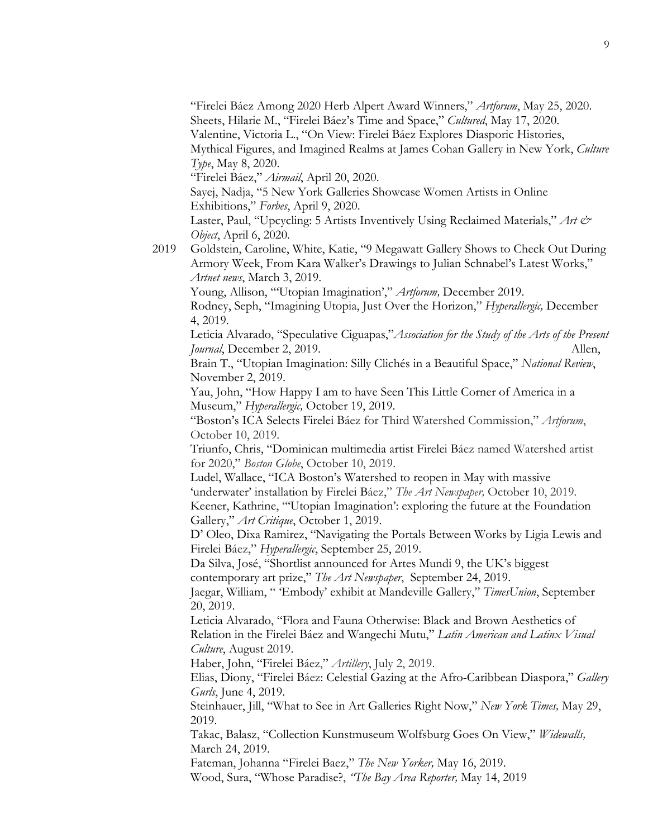"Firelei Báez Among 2020 Herb Alpert Award Winners," *Artforum*, May 25, 2020. Sheets, Hilarie M., "Firelei Báez's Time and Space," *Cultured*, May 17, 2020. Valentine, Victoria L., "On View: Firelei Báez Explores Diasporic Histories, Mythical Figures, and Imagined Realms at James Cohan Gallery in New York, *Culture Type*, May 8, 2020. "Firelei Báez," *Airmail*, April 20, 2020. Sayej, Nadja, "5 New York Galleries Showcase Women Artists in Online Exhibitions," *Forbes*, April 9, 2020. Laster, Paul, "Upcycling: 5 Artists Inventively Using Reclaimed Materials," *Art & Object*, April 6, 2020. 2019 Goldstein, Caroline, White, Katie, "9 Megawatt Gallery Shows to Check Out During Armory Week, From Kara Walker's Drawings to Julian Schnabel's Latest Works," *Artnet news*, March 3, 2019. Young, Allison, "'Utopian Imagination'," *Artforum,* December 2019. Rodney, Seph, "Imagining Utopia, Just Over the Horizon," *Hyperallergic,* December 4, 2019. Leticia Alvarado, "Speculative Ciguapas,"*Association for the Study of the Arts of the Present Journal*, December 2, 2019. Allen, Brain T., "Utopian Imagination: Silly Clichés in a Beautiful Space," *National Review*, November 2, 2019. Yau, John, "How Happy I am to have Seen This Little Corner of America in a Museum," *Hyperallergic,* October 19, 2019. "Boston's ICA Selects Firelei Báez for Third Watershed Commission," *Artforum*, October 10, 2019. Triunfo, Chris, "Dominican multimedia artist Firelei Báez named Watershed artist for 2020," *Boston Globe*, October 10, 2019. Ludel, Wallace, "ICA Boston's Watershed to reopen in May with massive 'underwater' installation by Firelei Báez," *The Art Newspaper,* October 10, 2019. Keener, Kathrine, "'Utopian Imagination': exploring the future at the Foundation Gallery," *Art Critique*, October 1, 2019. D' Oleo, Dixa Ramirez, "Navigating the Portals Between Works by Ligia Lewis and Firelei Báez," *Hyperallergic*, September 25, 2019. Da Silva, José, "Shortlist announced for Artes Mundi 9, the UK's biggest contemporary art prize," *The Art Newspaper*, September 24, 2019. Jaegar, William, " 'Embody' exhibit at Mandeville Gallery," *TimesUnion*, September 20, 2019. Leticia Alvarado, "Flora and Fauna Otherwise: Black and Brown Aesthetics of Relation in the Firelei Báez and Wangechi Mutu," *Latin American and Latinx Visual Culture*, August 2019. Haber, John, "Firelei Báez," *Artillery*, July 2, 2019. Elias, Diony, "Firelei Báez: Celestial Gazing at the Afro-Caribbean Diaspora," *Gallery Gurls*, June 4, 2019. Steinhauer, Jill, "What to See in Art Galleries Right Now," *New York Times,* May 29, 2019. Takac, Balasz, "Collection Kunstmuseum Wolfsburg Goes On View," *Widewalls,*  March 24, 2019. Fateman, Johanna "Firelei Baez," *The New Yorker,* May 16, 2019. Wood, Sura, "Whose Paradise?, *"The Bay Area Reporter,* May 14, 2019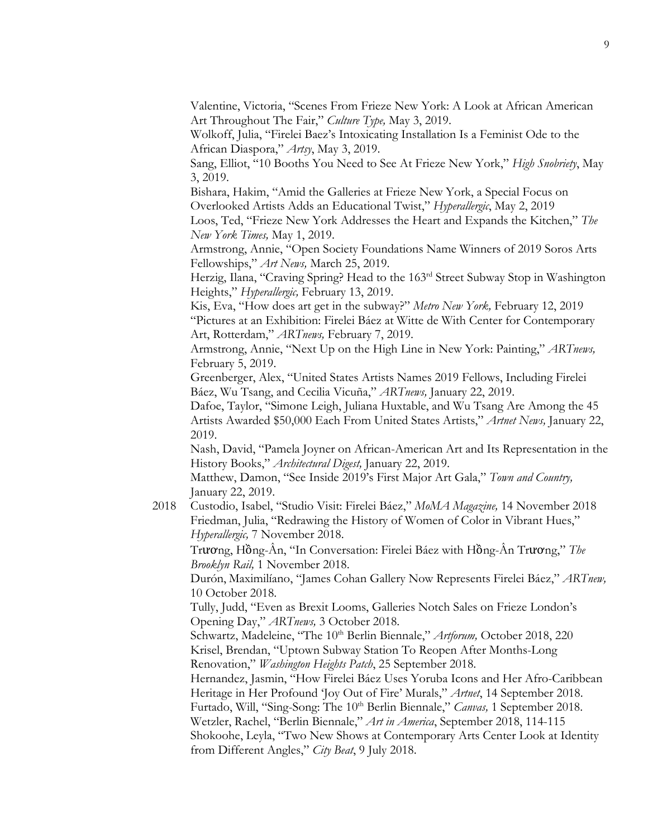Valentine, Victoria, "Scenes From Frieze New York: A Look at African American Art Throughout The Fair," *Culture Type,* May 3, 2019.

Wolkoff, Julia, "Firelei Baez's Intoxicating Installation Is a Feminist Ode to the African Diaspora," *Artsy*, May 3, 2019.

Sang, Elliot, "10 Booths You Need to See At Frieze New York," *High Snobriety*, May 3, 2019.

Bishara, Hakim, "Amid the Galleries at Frieze New York, a Special Focus on Overlooked Artists Adds an Educational Twist," *Hyperallergic*, May 2, 2019

Loos, Ted, "Frieze New York Addresses the Heart and Expands the Kitchen," *The New York Times,* May 1, 2019.

Armstrong, Annie, "Open Society Foundations Name Winners of 2019 Soros Arts Fellowships," *Art News,* March 25, 2019.

Herzig, Ilana, "Craving Spring? Head to the 163rd Street Subway Stop in Washington Heights," *Hyperallergic,* February 13, 2019.

Kis, Eva, "How does art get in the subway?" *Metro New York,* February 12, 2019 "Pictures at an Exhibition: Firelei Báez at Witte de With Center for Contemporary Art, Rotterdam," *ARTnews,* February 7, 2019.

Armstrong, Annie, "Next Up on the High Line in New York: Painting," *ARTnews,*  February 5, 2019.

Greenberger, Alex, "United States Artists Names 2019 Fellows, Including Firelei Báez, Wu Tsang, and Cecilia Vicuña," *ARTnews,* January 22, 2019.

Dafoe, Taylor, "Simone Leigh, Juliana Huxtable, and Wu Tsang Are Among the 45 Artists Awarded \$50,000 Each From United States Artists," *Artnet News,* January 22, 2019.

Nash, David, "Pamela Joyner on African-American Art and Its Representation in the History Books," *Architectural Digest,* January 22, 2019.

Matthew, Damon, "See Inside 2019's First Major Art Gala," *Town and Country,*  January 22, 2019.

2018 Custodio, Isabel, "Studio Visit: Firelei Báez," *MoMA Magazine,* 14 November 2018 Friedman, Julia, "Redrawing the History of Women of Color in Vibrant Hues," *Hyperallergic,* 7 November 2018.

Trương, Hồng-Ân, "In Conversation: Firelei Báez with Hồng-Ân Trương," *The Brooklyn Rail,* 1 November 2018.

Durón, Maximilíano, "James Cohan Gallery Now Represents Firelei Báez," *ARTnew,*  10 October 2018.

Tully, Judd, "Even as Brexit Looms, Galleries Notch Sales on Frieze London's Opening Day," *ARTnews,* 3 October 2018.

Schwartz, Madeleine, "The 10<sup>th</sup> Berlin Biennale," Artforum, October 2018, 220 Krisel, Brendan, "Uptown Subway Station To Reopen After Months-Long Renovation," *Washington Heights Patch*, 25 September 2018.

Hernandez, Jasmin, "How Firelei Báez Uses Yoruba Icons and Her Afro-Caribbean Heritage in Her Profound 'Joy Out of Fire' Murals," *Artnet*, 14 September 2018. Furtado, Will, "Sing-Song: The 10<sup>th</sup> Berlin Biennale," *Canvas*, 1 September 2018. Wetzler, Rachel, "Berlin Biennale," *Art in America*, September 2018, 114-115 Shokoohe, Leyla, "Two New Shows at Contemporary Arts Center Look at Identity from Different Angles," *City Beat*, 9 July 2018.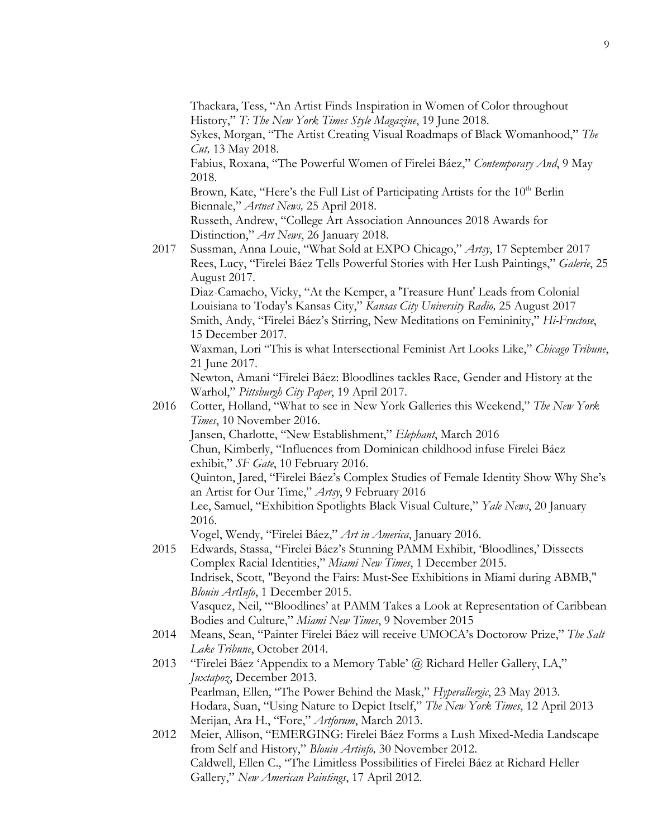Thackara, Tess, "An Artist Finds Inspiration in Women of Color throughout History," *T: The New York Times Style Magazine*, 19 June 2018. Sykes, Morgan, "The Artist Creating Visual Roadmaps of Black Womanhood," *The Cut,* 13 May 2018. Fabius, Roxana, "The Powerful Women of Firelei Báez," *Contemporary And*, 9 May 2018. Brown, Kate, "Here's the Full List of Participating Artists for the 10<sup>th</sup> Berlin Biennale," *Artnet News,* 25 April 2018. Russeth, Andrew, "College Art Association Announces 2018 Awards for Distinction," *Art News*, 26 January 2018.

2017 Sussman, Anna Louie, "What Sold at EXPO Chicago," *Artsy*, 17 September 2017 Rees, Lucy, "Firelei Báez Tells Powerful Stories with Her Lush Paintings," *Galerie*, 25 August 2017.

Diaz-Camacho, Vicky, "At the Kemper, a 'Treasure Hunt' Leads from Colonial Louisiana to Today's Kansas City," *Kansas City University Radio,* 25 August 2017 Smith, Andy, "Firelei Báez's Stirring, New Meditations on Femininity," *Hi-Fructose*, 15 December 2017.

Waxman, Lori "This is what Intersectional Feminist Art Looks Like," *Chicago Tribune*, 21 June 2017.

Newton, Amani "Firelei Báez: Bloodlines tackles Race, Gender and History at the Warhol," *Pittsburgh City Paper*, 19 April 2017.

2016 Cotter, Holland, "What to see in New York Galleries this Weekend," *The New York Times*, 10 November 2016.

Jansen, Charlotte, "New Establishment," *Elephant*, March 2016 Chun, Kimberly, "Influences from Dominican childhood infuse Firelei Báez exhibit," *SF Gate*, 10 February 2016.

Quinton, Jared, "Firelei Báez's Complex Studies of Female Identity Show Why She's an Artist for Our Time," *Artsy*, 9 February 2016 Lee, Samuel, "Exhibition Spotlights Black Visual Culture," *Yale News*, 20 January

2016. Vogel, Wendy, "Firelei Báez," *Art in America*, January 2016.

- 2015 Edwards, Stassa, "Firelei Báez's Stunning PAMM Exhibit, 'Bloodlines,' Dissects Complex Racial Identities," *Miami New Times*, 1 December 2015. Indrisek, Scott, "Beyond the Fairs: Must-See Exhibitions in Miami during ABMB," *Blouin ArtInfo*, 1 December 2015. Vasquez, Neil, "'Bloodlines' at PAMM Takes a Look at Representation of Caribbean Bodies and Culture," *Miami New Times*, 9 November 2015
- 2014 Means, Sean, "Painter Firelei Báez will receive UMOCA's Doctorow Prize," *The Salt Lake Tribune*, October 2014.
- 2013 "Firelei Báez 'Appendix to a Memory Table' @ Richard Heller Gallery, LA," *Juxtapoz*, December 2013. Pearlman, Ellen, "The Power Behind the Mask," *Hyperallergic*, 23 May 2013. Hodara, Suan, "Using Nature to Depict Itself," *The New York Times*, 12 April 2013 Merijan, Ara H., "Fore," *Artforum*, March 2013.
- 2012 Meier, Allison, "EMERGING: Firelei Báez Forms a Lush Mixed-Media Landscape from Self and History," *Blouin Artinfo,* 30 November 2012. Caldwell, Ellen C., "The Limitless Possibilities of Firelei Báez at Richard Heller Gallery," *New American Paintings*, 17 April 2012.